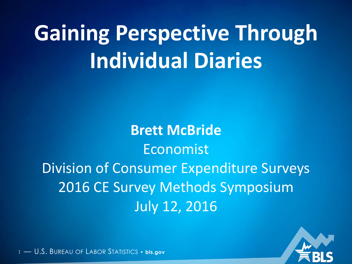# **Gaining Perspective Through Individual Diaries**

**Brett McBride** Economist Division of Consumer Expenditure Surveys 2016 CE Survey Methods Symposium July 12, 2016

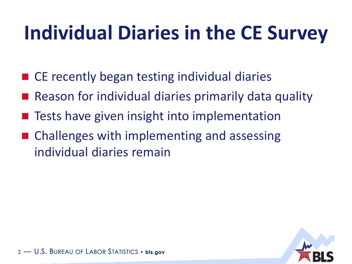## **Individual Diaries in the CE Survey**

- CE recently began testing individual diaries
- Reason for individual diaries primarily data quality
- Tests have given insight into implementation
- Challenges with implementing and assessing individual diaries remain

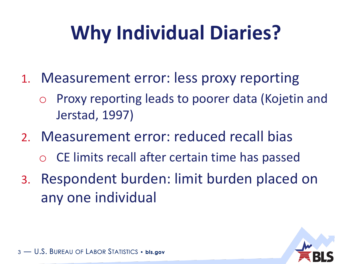## **Why Individual Diaries?**

- 1. Measurement error: less proxy reporting
	- Proxy reporting leads to poorer data (Kojetin and Jerstad, 1997)
- 2. Measurement error: reduced recall bias
	- o CE limits recall after certain time has passed
- 3. Respondent burden: limit burden placed on any one individual

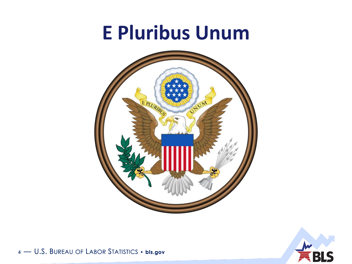#### **E Pluribus Unum**



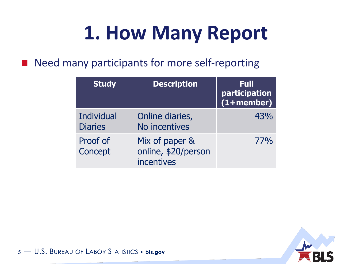### **1. How Many Report**

■ Need many participants for more self-reporting

| <b>Study</b>                 | <b>Description</b>                                  | Full<br>participation<br>$(1 + member)$ |
|------------------------------|-----------------------------------------------------|-----------------------------------------|
| Individual<br><b>Diaries</b> | Online diaries,<br>No incentives                    | 43%                                     |
| Proof of<br>Concept          | Mix of paper &<br>online, \$20/person<br>incentives | <b>77%</b>                              |

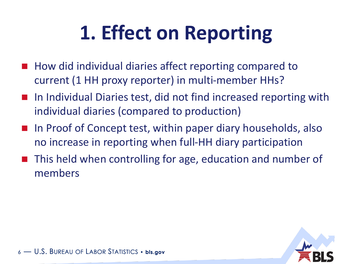## **1. Effect on Reporting**

- How did individual diaries affect reporting compared to current (1 HH proxy reporter) in multi-member HHs?
- In Individual Diaries test, did not find increased reporting with individual diaries (compared to production)
- In Proof of Concept test, within paper diary households, also no increase in reporting when full-HH diary participation
- This held when controlling for age, education and number of members

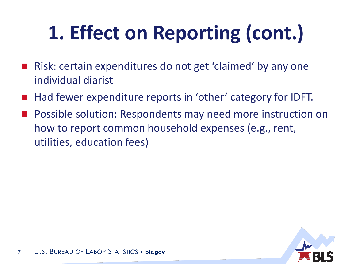## **1. Effect on Reporting (cont.)**

- Risk: certain expenditures do not get 'claimed' by any one individual diarist
- Had fewer expenditure reports in 'other' category for IDFT.
- Possible solution: Respondents may need more instruction on how to report common household expenses (e.g., rent, utilities, education fees)

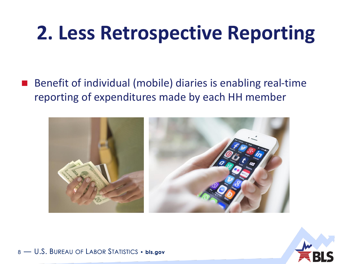#### **2. Less Retrospective Reporting**

 Benefit of individual (mobile) diaries is enabling real-time reporting of expenditures made by each HH member



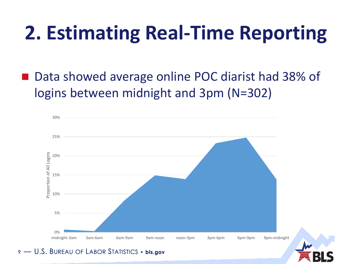### **2. Estimating Real-Time Reporting**

 Data showed average online POC diarist had 38% of logins between midnight and 3pm (N=302)

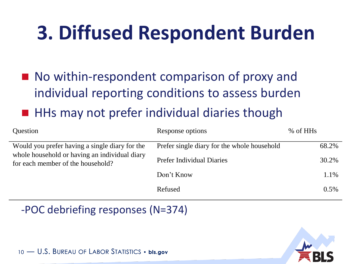### **3. Diffused Respondent Burden**

■ No within-respondent comparison of proxy and individual reporting conditions to assess burden HHs may not prefer individual diaries though

| Question                                                                                        | Response options                            | % of HHs |
|-------------------------------------------------------------------------------------------------|---------------------------------------------|----------|
| Would you prefer having a single diary for the<br>whole household or having an individual diary | Prefer single diary for the whole household | 68.2%    |
| for each member of the household?                                                               | <b>Prefer Individual Diaries</b>            | 30.2%    |
|                                                                                                 | Don't Know                                  | 1.1%     |
|                                                                                                 | Refused                                     | $0.5\%$  |

-POC debriefing responses (N=374)

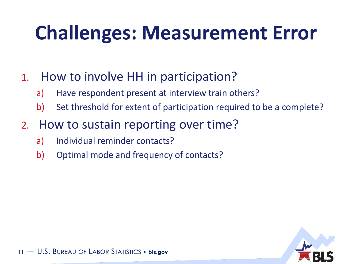### **Challenges: Measurement Error**

#### 1. How to involve HH in participation?

- a) Have respondent present at interview train others?
- b) Set threshold for extent of participation required to be a complete?

#### 2. How to sustain reporting over time?

- a) Individual reminder contacts?
- b) Optimal mode and frequency of contacts?

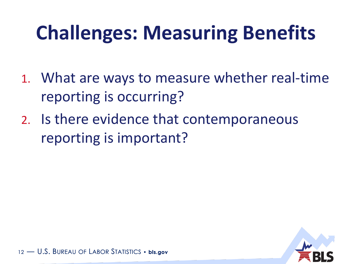## **Challenges: Measuring Benefits**

- 1. What are ways to measure whether real-time reporting is occurring?
- 2. Is there evidence that contemporaneous reporting is important?

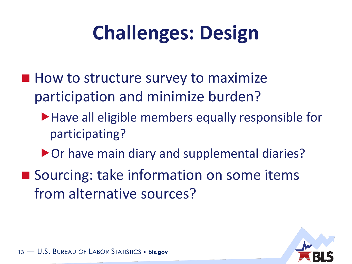## **Challenges: Design**

- $\blacksquare$  How to structure survey to maximize participation and minimize burden?
	- ▶ Have all eligible members equally responsible for participating?
	- ▶ Or have main diary and supplemental diaries?
- Sourcing: take information on some items from alternative sources?